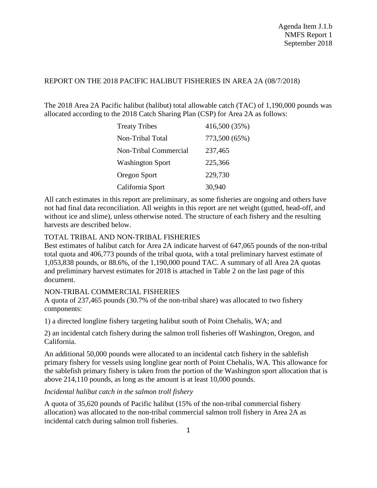## REPORT ON THE 2018 PACIFIC HALIBUT FISHERIES IN AREA 2A (08/7/2018)

The 2018 Area 2A Pacific halibut (halibut) total allowable catch (TAC) of 1,190,000 pounds was allocated according to the 2018 Catch Sharing Plan (CSP) for Area 2A as follows:

| <b>Treaty Tribes</b>         | 416,500 (35%) |
|------------------------------|---------------|
| Non-Tribal Total             | 773,500 (65%) |
| <b>Non-Tribal Commercial</b> | 237,465       |
| <b>Washington Sport</b>      | 225,366       |
| Oregon Sport                 | 229,730       |
| California Sport             | 30,940        |

All catch estimates in this report are preliminary, as some fisheries are ongoing and others have not had final data reconciliation. All weights in this report are net weight (gutted, head-off, and without ice and slime), unless otherwise noted. The structure of each fishery and the resulting harvests are described below.

# TOTAL TRIBAL AND NON-TRIBAL FISHERIES

Best estimates of halibut catch for Area 2A indicate harvest of 647,065 pounds of the non-tribal total quota and 406,773 pounds of the tribal quota, with a total preliminary harvest estimate of 1,053,838 pounds, or 88.6%, of the 1,190,000 pound TAC. A summary of all Area 2A quotas and preliminary harvest estimates for 2018 is attached in Table 2 on the last page of this document.

### NON-TRIBAL COMMERCIAL FISHERIES

A quota of 237,465 pounds (30.7% of the non-tribal share) was allocated to two fishery components:

1) a directed longline fishery targeting halibut south of Point Chehalis, WA; and

2) an incidental catch fishery during the salmon troll fisheries off Washington, Oregon, and California.

An additional 50,000 pounds were allocated to an incidental catch fishery in the sablefish primary fishery for vessels using longline gear north of Point Chehalis, WA. This allowance for the sablefish primary fishery is taken from the portion of the Washington sport allocation that is above 214,110 pounds, as long as the amount is at least 10,000 pounds.

### *Incidental halibut catch in the salmon troll fishery*

A quota of 35,620 pounds of Pacific halibut (15% of the non-tribal commercial fishery allocation) was allocated to the non-tribal commercial salmon troll fishery in Area 2A as incidental catch during salmon troll fisheries.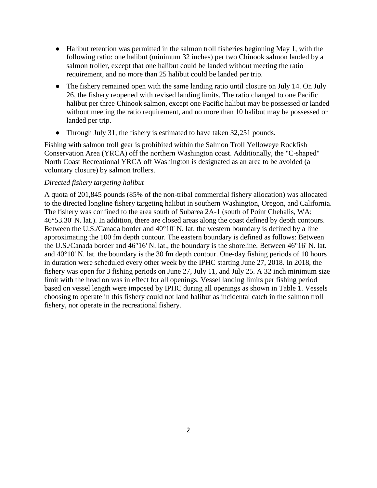- Halibut retention was permitted in the salmon troll fisheries beginning May 1, with the following ratio: one halibut (minimum 32 inches) per two Chinook salmon landed by a salmon troller, except that one halibut could be landed without meeting the ratio requirement, and no more than 25 halibut could be landed per trip.
- The fishery remained open with the same landing ratio until closure on July 14. On July 26, the fishery reopened with revised landing limits. The ratio changed to one Pacific halibut per three Chinook salmon, except one Pacific halibut may be possessed or landed without meeting the ratio requirement, and no more than 10 halibut may be possessed or landed per trip.
- Through July 31, the fishery is estimated to have taken 32,251 pounds.

Fishing with salmon troll gear is prohibited within the Salmon Troll Yelloweye Rockfish Conservation Area (YRCA) off the northern Washington coast. Additionally, the "C-shaped" North Coast Recreational YRCA off Washington is designated as an area to be avoided (a voluntary closure) by salmon trollers.

#### *Directed fishery targeting halibut*

A quota of 201,845 pounds (85% of the non-tribal commercial fishery allocation) was allocated to the directed longline fishery targeting halibut in southern Washington, Oregon, and California. The fishery was confined to the area south of Subarea 2A-1 (south of Point Chehalis, WA; 46°53.30' N. lat.). In addition, there are closed areas along the coast defined by depth contours. Between the U.S./Canada border and 40°10' N. lat. the western boundary is defined by a line approximating the 100 fm depth contour. The eastern boundary is defined as follows: Between the U.S./Canada border and 46°16' N. lat., the boundary is the shoreline. Between 46°16' N. lat. and 40°10' N. lat. the boundary is the 30 fm depth contour. One-day fishing periods of 10 hours in duration were scheduled every other week by the IPHC starting June 27, 2018. In 2018, the fishery was open for 3 fishing periods on June 27, July 11, and July 25. A 32 inch minimum size limit with the head on was in effect for all openings. Vessel landing limits per fishing period based on vessel length were imposed by IPHC during all openings as shown in Table 1. Vessels choosing to operate in this fishery could not land halibut as incidental catch in the salmon troll fishery, nor operate in the recreational fishery.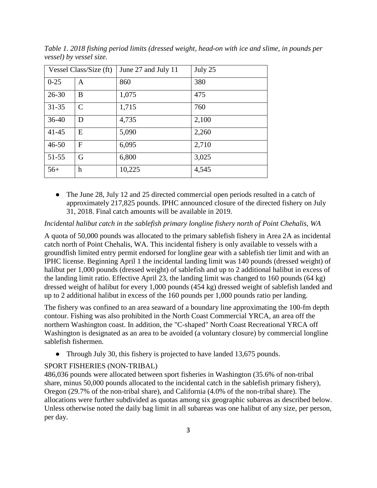| Vessel Class/Size (ft) |                           | June 27 and July 11 | July 25 |  |  |
|------------------------|---------------------------|---------------------|---------|--|--|
| $0 - 25$               | A                         | 860                 | 380     |  |  |
| $26 - 30$              | B                         | 1,075               | 475     |  |  |
| $31 - 35$              | $\mathcal{C}$             | 1,715               | 760     |  |  |
| $36-40$                | D                         | 4,735               | 2,100   |  |  |
| $41 - 45$              | E                         | 5,090               | 2,260   |  |  |
| $46 - 50$              | F                         | 6,095               | 2,710   |  |  |
| 51-55                  | G                         | 6,800               | 3,025   |  |  |
| $56+$                  | $\boldsymbol{\mathrm{h}}$ | 10,225              | 4,545   |  |  |

*Table 1. 2018 fishing period limits (dressed weight, head-on with ice and slime, in pounds per vessel) by vessel size.* 

• The June 28, July 12 and 25 directed commercial open periods resulted in a catch of approximately 217,825 pounds. IPHC announced closure of the directed fishery on July 31, 2018. Final catch amounts will be available in 2019.

*Incidental halibut catch in the sablefish primary longline fishery north of Point Chehalis, WA*

A quota of 50,000 pounds was allocated to the primary sablefish fishery in Area 2A as incidental catch north of Point Chehalis, WA. This incidental fishery is only available to vessels with a groundfish limited entry permit endorsed for longline gear with a sablefish tier limit and with an IPHC license. Beginning April 1 the incidental landing limit was 140 pounds (dressed weight) of halibut per 1,000 pounds (dressed weight) of sablefish and up to 2 additional halibut in excess of the landing limit ratio. Effective April 23, the landing limit was changed to 160 pounds (64 kg) dressed weight of halibut for every 1,000 pounds (454 kg) dressed weight of sablefish landed and up to 2 additional halibut in excess of the 160 pounds per 1,000 pounds ratio per landing.

The fishery was confined to an area seaward of a boundary line approximating the 100-fm depth contour. Fishing was also prohibited in the North Coast Commercial YRCA, an area off the northern Washington coast. In addition, the "C-shaped" North Coast Recreational YRCA off Washington is designated as an area to be avoided (a voluntary closure) by commercial longline sablefish fishermen.

• Through July 30, this fishery is projected to have landed 13,675 pounds.

### SPORT FISHERIES (NON-TRIBAL)

486,036 pounds were allocated between sport fisheries in Washington (35.6% of non-tribal share, minus 50,000 pounds allocated to the incidental catch in the sablefish primary fishery), Oregon (29.7% of the non-tribal share), and California (4.0% of the non-tribal share). The allocations were further subdivided as quotas among six geographic subareas as described below. Unless otherwise noted the daily bag limit in all subareas was one halibut of any size, per person, per day.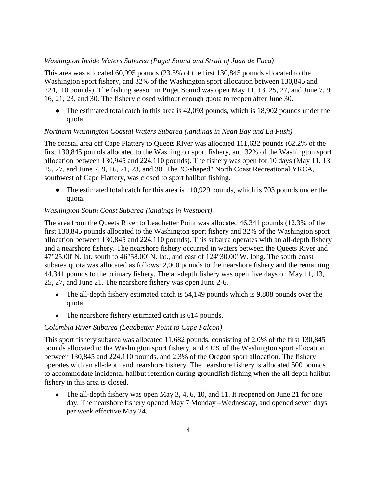#### *Washington Inside Waters Subarea (Puget Sound and Strait of Juan de Fuca)*

This area was allocated 60,995 pounds (23.5% of the first 130,845 pounds allocated to the Washington sport fishery, and 32% of the Washington sport allocation between 130,845 and 224,110 pounds). The fishing season in Puget Sound was open May 11, 13, 25, 27, and June 7, 9, 16, 21, 23, and 30. The fishery closed without enough quota to reopen after June 30.

• The estimated total catch in this area is 42,093 pounds, which is 18,902 pounds under the quota.

#### *Northern Washington Coastal Waters Subarea (landings in Neah Bay and La Push)*

The coastal area off Cape Flattery to Queets River was allocated 111,632 pounds (62.2% of the first 130,845 pounds allocated to the Washington sport fishery, and 32% of the Washington sport allocation between 130,945 and 224,110 pounds). The fishery was open for 10 days (May 11, 13, 25, 27, and June 7, 9, 16, 21, 23, and 30. The "C-shaped" North Coast Recreational YRCA, southwest of Cape Flattery, was closed to sport halibut fishing.

• The estimated total catch for this area is 110,929 pounds, which is 703 pounds under the quota.

#### *Washington South Coast Subarea (landings in Westport)*

The area from the Queets River to Leadbetter Point was allocated 46,341 pounds (12.3% of the first 130,845 pounds allocated to the Washington sport fishery and 32% of the Washington sport allocation between 130,845 and 224,110 pounds). This subarea operates with an all-depth fishery and a nearshore fishery. The nearshore fishery occurred in waters between the Queets River and  $47^{\circ}25.00'$  N. lat. south to  $46^{\circ}58.00'$  N. lat., and east of  $124^{\circ}30.00'$  W. long. The south coast subarea quota was allocated as follows: 2,000 pounds to the nearshore fishery and the remaining 44,341 pounds to the primary fishery. The all-depth fishery was open five days on May 11, 13, 25, 27, and June 21. The nearshore fishery was open June 2-6.

- The all-depth fishery estimated catch is 54,149 pounds which is 9,808 pounds over the quota.
- The nearshore fishery estimated catch is 614 pounds.

## *Columbia River Subarea (Leadbetter Point to Cape Falcon)*

This sport fishery subarea was allocated 11,682 pounds, consisting of 2.0% of the first 130,845 pounds allocated to the Washington sport fishery, and 4.0% of the Washington sport allocation between 130,845 and 224,110 pounds, and 2.3% of the Oregon sport allocation. The fishery operates with an all-depth and nearshore fishery. The nearshore fishery is allocated 500 pounds to accommodate incidental halibut retention during groundfish fishing when the all depth halibut fishery in this area is closed.

• The all-depth fishery was open May 3, 4, 6, 10, and 11. It reopened on June 21 for one day. The nearshore fishery opened May 7 Monday –Wednesday, and opened seven days per week effective May 24.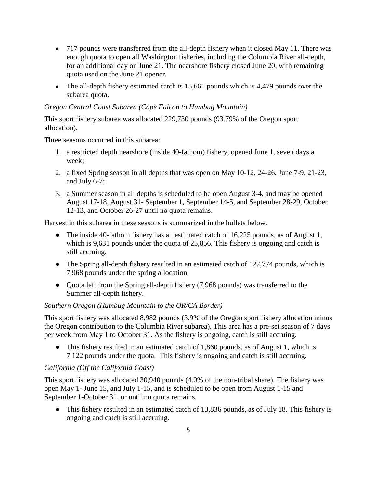- 717 pounds were transferred from the all-depth fishery when it closed May 11. There was enough quota to open all Washington fisheries, including the Columbia River all-depth, for an additional day on June 21. The nearshore fishery closed June 20, with remaining quota used on the June 21 opener.
- The all-depth fishery estimated catch is 15,661 pounds which is 4,479 pounds over the subarea quota.

## *Oregon Central Coast Subarea (Cape Falcon to Humbug Mountain)*

This sport fishery subarea was allocated 229,730 pounds (93.79% of the Oregon sport allocation).

Three seasons occurred in this subarea:

- 1. a restricted depth nearshore (inside 40-fathom) fishery, opened June 1, seven days a week;
- 2. a fixed Spring season in all depths that was open on May 10-12, 24-26, June 7-9, 21-23, and July 6-7;
- 3. a Summer season in all depths is scheduled to be open August 3-4, and may be opened August 17-18, August 31- September 1, September 14-5, and September 28-29, October 12-13, and October 26-27 until no quota remains.

Harvest in this subarea in these seasons is summarized in the bullets below.

- The inside 40-fathom fishery has an estimated catch of  $16,225$  pounds, as of August 1, which is 9,631 pounds under the quota of 25,856. This fishery is ongoing and catch is still accruing.
- The Spring all-depth fishery resulted in an estimated catch of 127,774 pounds, which is 7,968 pounds under the spring allocation.
- Quota left from the Spring all-depth fishery (7,968 pounds) was transferred to the Summer all-depth fishery.

# *Southern Oregon (Humbug Mountain to the OR/CA Border)*

This sport fishery was allocated 8,982 pounds (3.9% of the Oregon sport fishery allocation minus the Oregon contribution to the Columbia River subarea). This area has a pre-set season of 7 days per week from May 1 to October 31. As the fishery is ongoing, catch is still accruing.

• This fishery resulted in an estimated catch of 1,860 pounds, as of August 1, which is 7,122 pounds under the quota. This fishery is ongoing and catch is still accruing.

# *California (Off the California Coast)*

This sport fishery was allocated 30,940 pounds (4.0% of the non-tribal share). The fishery was open May 1- June 15, and July 1-15, and is scheduled to be open from August 1-15 and September 1-October 31, or until no quota remains.

• This fishery resulted in an estimated catch of 13,836 pounds, as of July 18. This fishery is ongoing and catch is still accruing.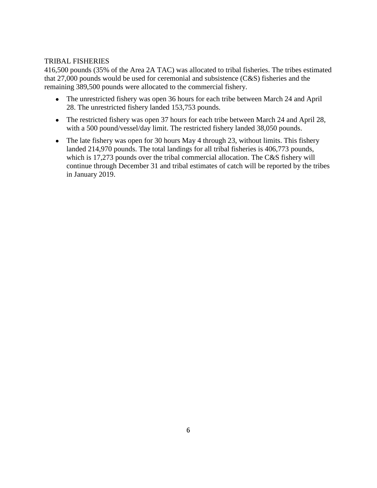## TRIBAL FISHERIES

416,500 pounds (35% of the Area 2A TAC) was allocated to tribal fisheries. The tribes estimated that 27,000 pounds would be used for ceremonial and subsistence (C&S) fisheries and the remaining 389,500 pounds were allocated to the commercial fishery.

- The unrestricted fishery was open 36 hours for each tribe between March 24 and April 28. The unrestricted fishery landed 153,753 pounds.
- The restricted fishery was open 37 hours for each tribe between March 24 and April 28, with a 500 pound/vessel/day limit. The restricted fishery landed 38,050 pounds.
- The late fishery was open for 30 hours May 4 through 23, without limits. This fishery landed 214,970 pounds. The total landings for all tribal fisheries is 406,773 pounds, which is 17,273 pounds over the tribal commercial allocation. The C&S fishery will continue through December 31 and tribal estimates of catch will be reported by the tribes in January 2019.